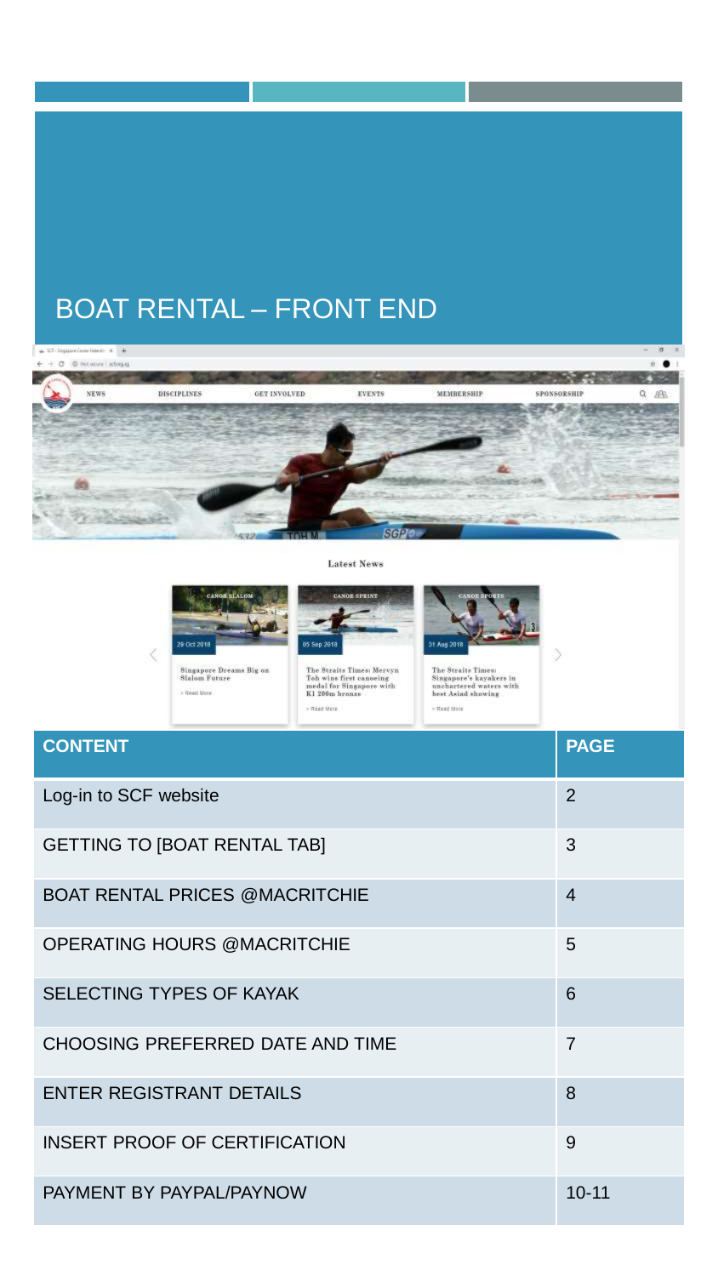# BOAT RENTAL – FRONT END



**Latest News** 



| <b>CONTENT</b>                        | <b>PAGE</b>    |
|---------------------------------------|----------------|
| Log-in to SCF website                 | $\overline{2}$ |
| <b>GETTING TO [BOAT RENTAL TAB]</b>   | 3              |
| <b>BOAT RENTAL PRICES @MACRITCHIE</b> | $\overline{4}$ |
| <b>OPERATING HOURS @MACRITCHIE</b>    | 5              |
| <b>SELECTING TYPES OF KAYAK</b>       | 6              |
| CHOOSING PREFERRED DATE AND TIME      | $\overline{7}$ |
| <b>ENTER REGISTRANT DETAILS</b>       | 8              |
| <b>INSERT PROOF OF CERTIFICATION</b>  | 9              |
| PAYMENT BY PAYPAL/PAYNOW              | $10 - 11$      |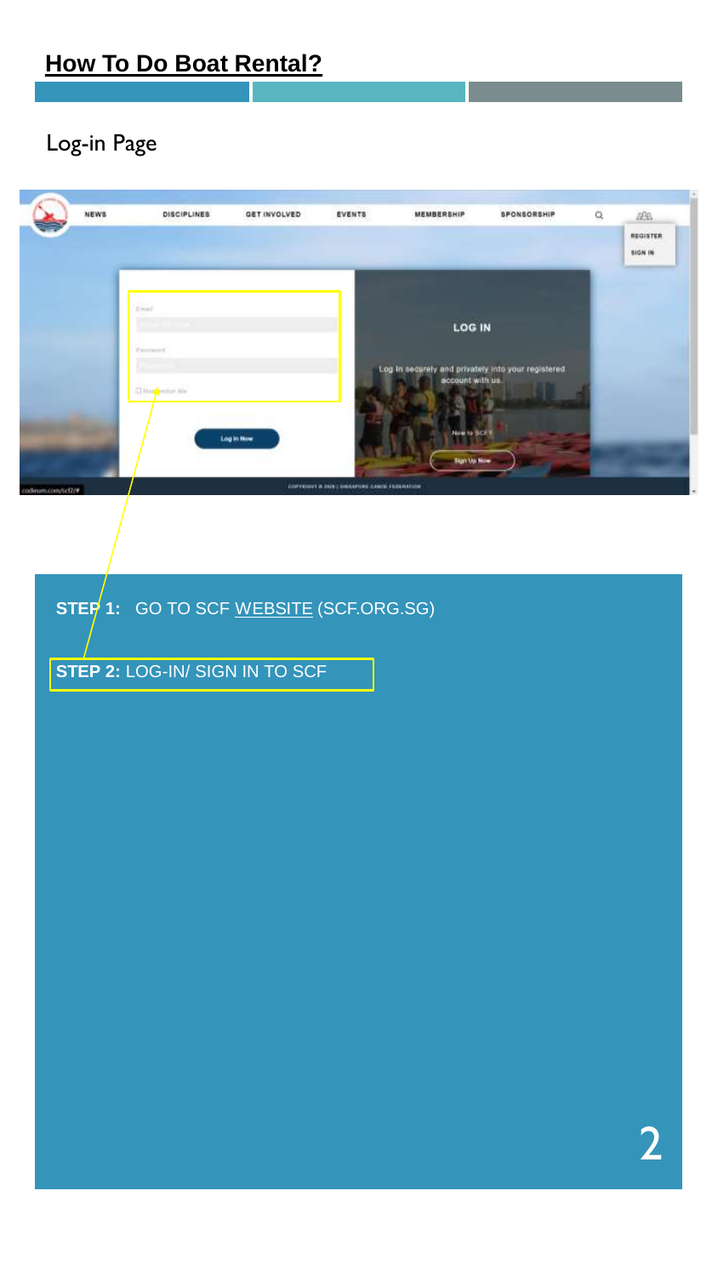#### Log-in Page



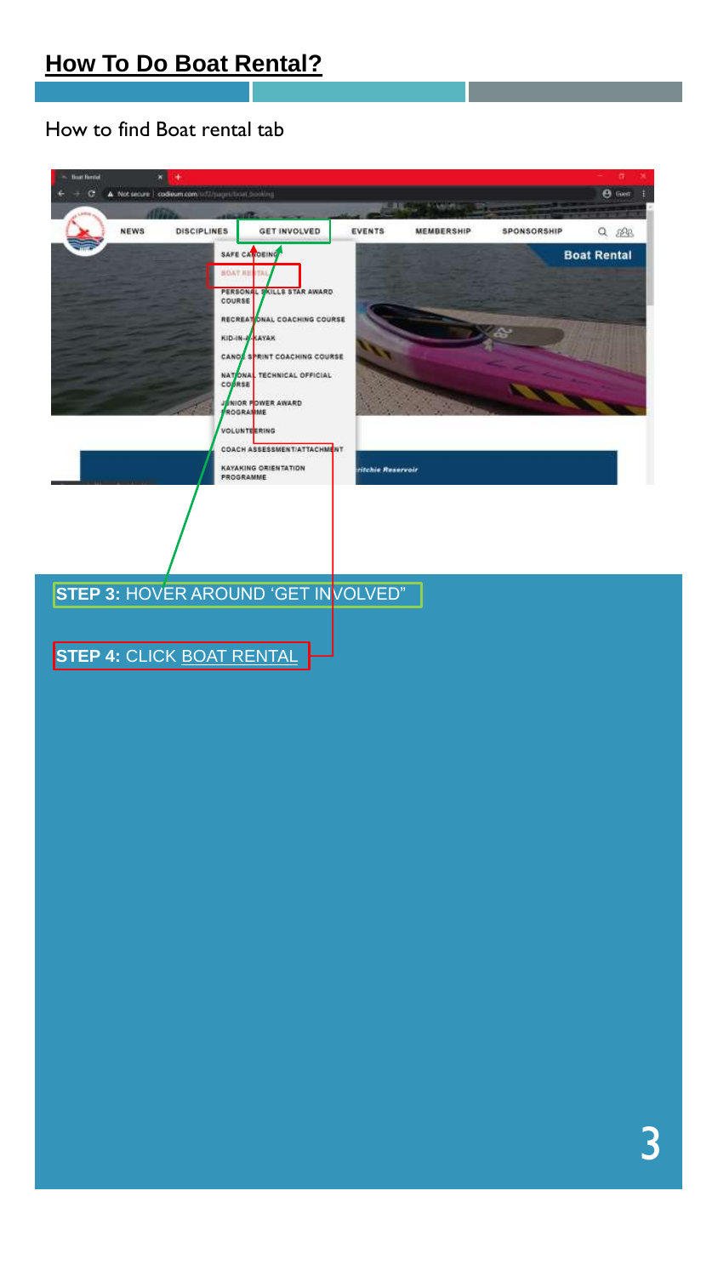#### How to find Boat rental tab

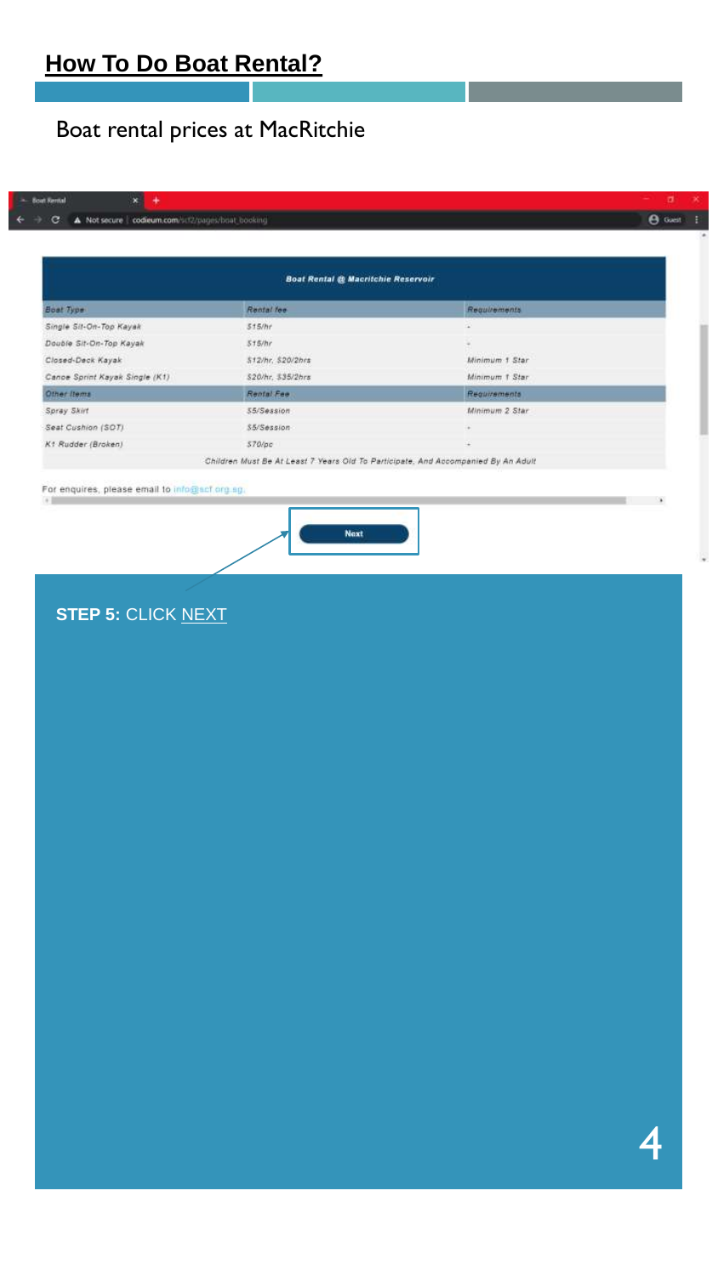# Boat rental prices at MacRitchie

| $\mathbf{C}$<br>A Not secure   codieum.com/stf2/pages/boat_booking |                                           |                | <b>B</b> Gaest |
|--------------------------------------------------------------------|-------------------------------------------|----------------|----------------|
|                                                                    | <b>Boat Rental @ Macritchie Reservoir</b> |                |                |
| <b>Boat Type</b>                                                   | Rental fee                                | Requirements   |                |
| Single Sit-On-Top Kayak                                            | 515/hr                                    | z              |                |
| Double Sit-On-Top Kayak                                            | 515/hr                                    |                |                |
| Closed-Deck Kayak                                                  | \$12/hr. \$20/2hrs                        | Minimum 1 Star |                |
| Canoe Sprint Kayak Single (K1)                                     | 520/hr. 535/2hrs                          | Minimum 1 Star |                |
| Other Items                                                        | Rental Fee                                | Requirements   |                |
| Spray Skirt                                                        | 55/Session                                | Minimum 2 Star |                |
| Seat Cushion (SOT)                                                 | S5/Session                                |                |                |
| K1 Rudder (Broken)                                                 | $570$ /pc                                 |                |                |

For enquires, please email to info@scf org.sg.  $\left( 0.1\right)$ 



**STEP 5:** CLICK NEXT

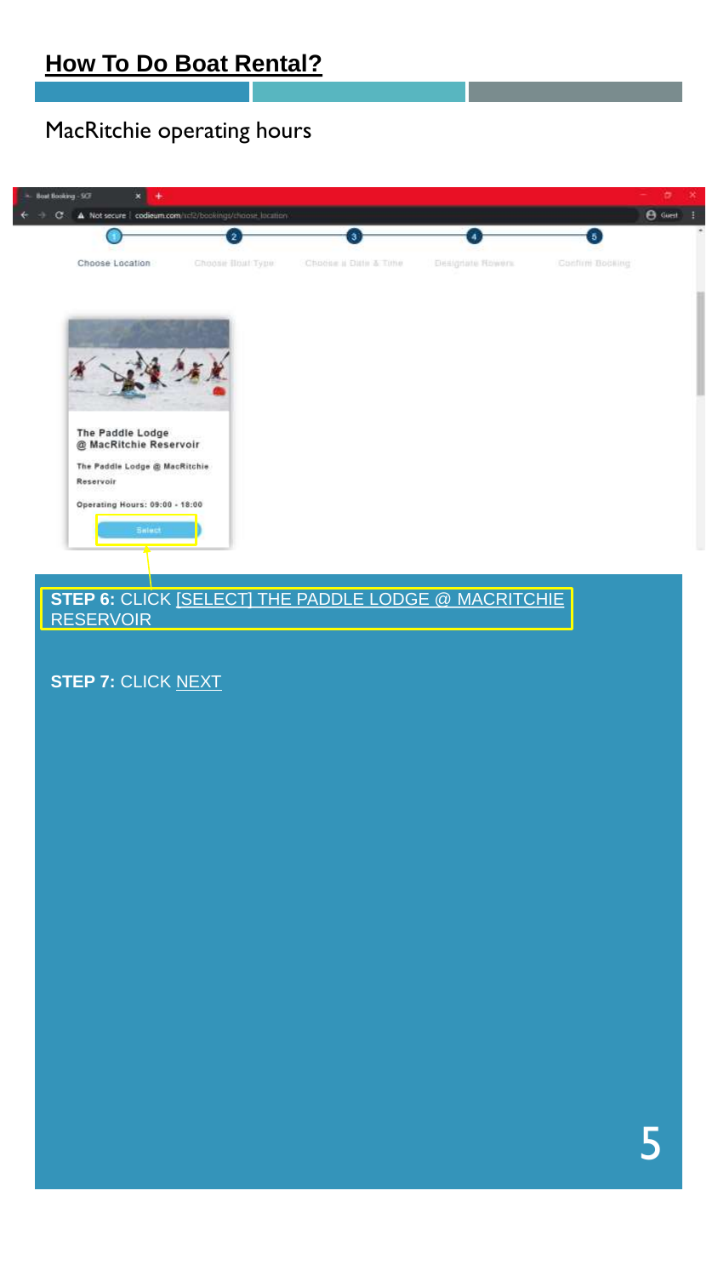# MacRitchie operating hours

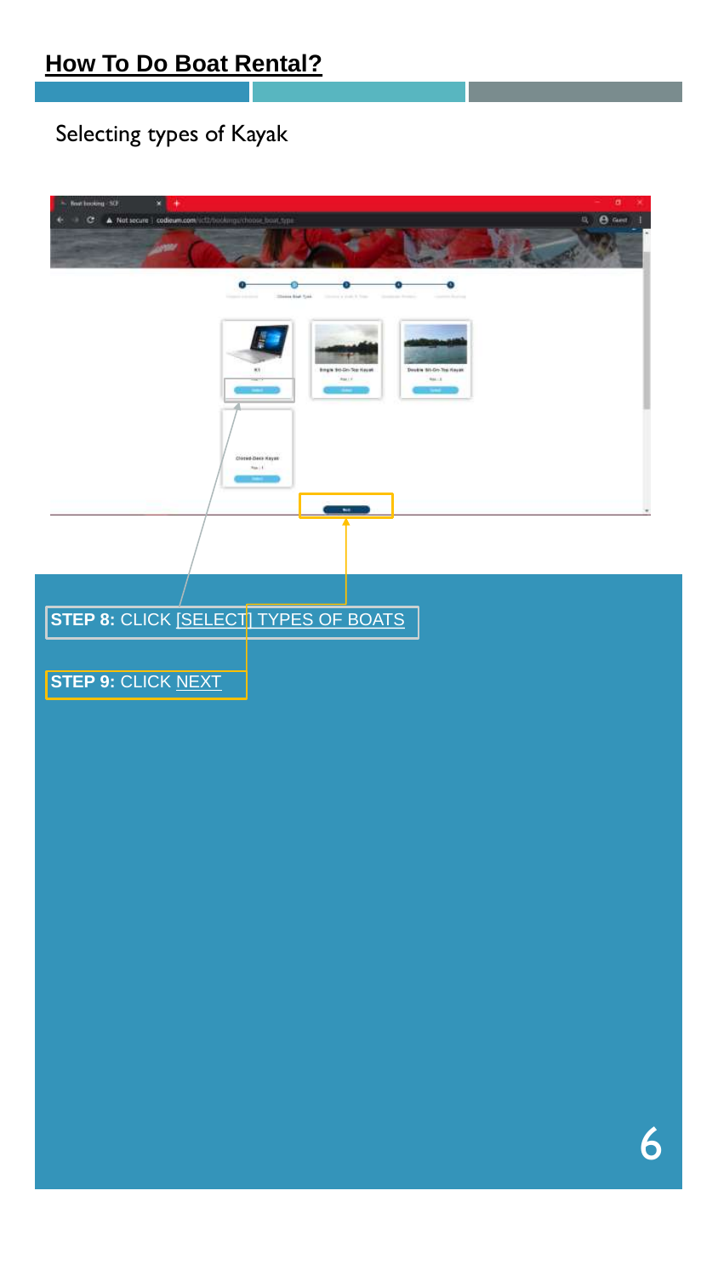# Selecting types of Kayak

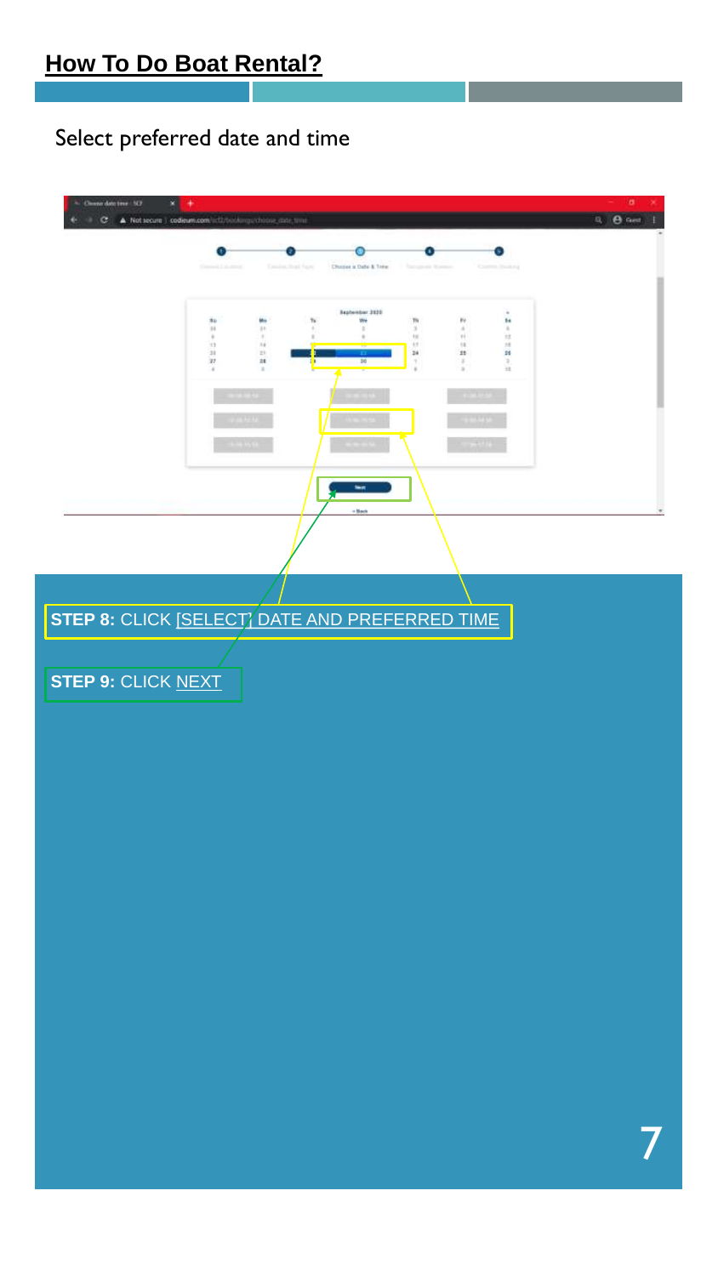## Select preferred date and time

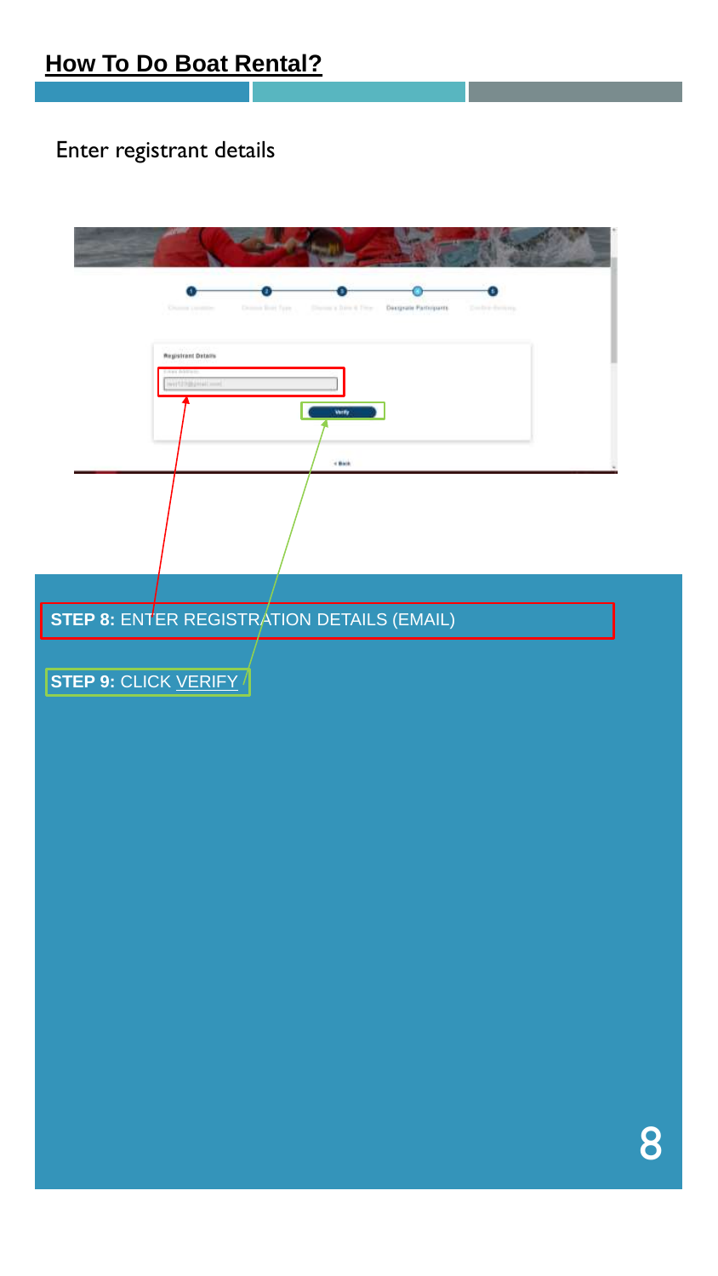# Enter registrant details

| Decgrate Participants<br>Drama Bost Type<br>Discourse Baltim & Time-<br>Chimne Lin<br>Dealer-Ferritty.<br><b>Registrant Datains</b><br><b>Los Address</b><br>WHITEBEAN (-C)<br>Wife<br>$<$ Bath. |   |
|--------------------------------------------------------------------------------------------------------------------------------------------------------------------------------------------------|---|
|                                                                                                                                                                                                  |   |
| STEP 8: ENTER REGISTRATION DETAILS (EMAIL)                                                                                                                                                       |   |
| STEP 9: CLICK VERIFY                                                                                                                                                                             |   |
|                                                                                                                                                                                                  |   |
|                                                                                                                                                                                                  |   |
|                                                                                                                                                                                                  |   |
|                                                                                                                                                                                                  |   |
|                                                                                                                                                                                                  |   |
|                                                                                                                                                                                                  |   |
|                                                                                                                                                                                                  | Q |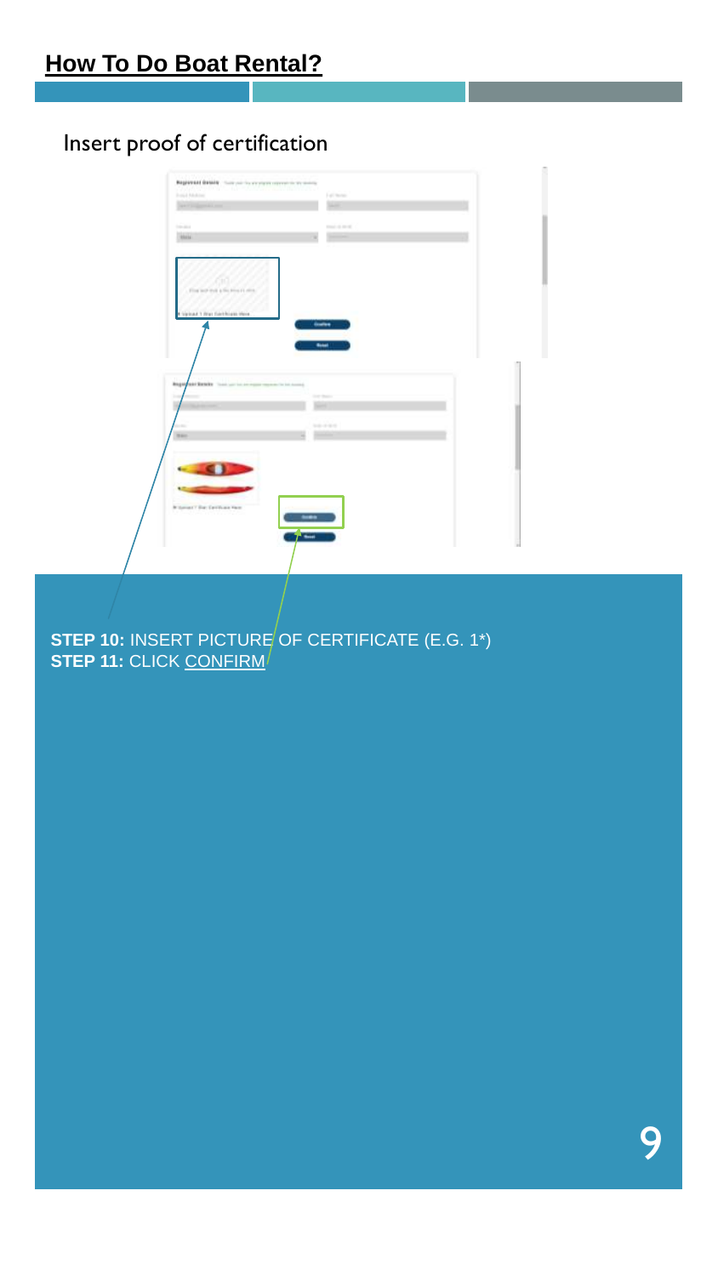#### **How To Do Boat Rental?**

## Insert proof of certification

| Registrant Basicia - Suns painters are present convenients are manning<br><b>Proved Adult Lines</b> | Fall Stores                       |  |
|-----------------------------------------------------------------------------------------------------|-----------------------------------|--|
| <b>Space Format</b>                                                                                 |                                   |  |
| Total Allen                                                                                         | <b>COLLAGE AND ART</b>            |  |
| <b>Hills</b>                                                                                        |                                   |  |
| First last that a fire from its other.<br>Cipical 1 Riv: Gribbigio Here                             | <b>Graffing</b><br><b>Byland</b>  |  |
| Bagai said Satalis Tour, and he are equivalent to be home.<br>٠                                     | <b>Controller States</b><br>10000 |  |
| <b>TEAM</b>                                                                                         |                                   |  |
|                                                                                                     |                                   |  |

**STEP 10: INSERT PICTURE OF CERTIFICATE (E.G. 1\*) STEP 11: CLICK CONFIRM** 

# 9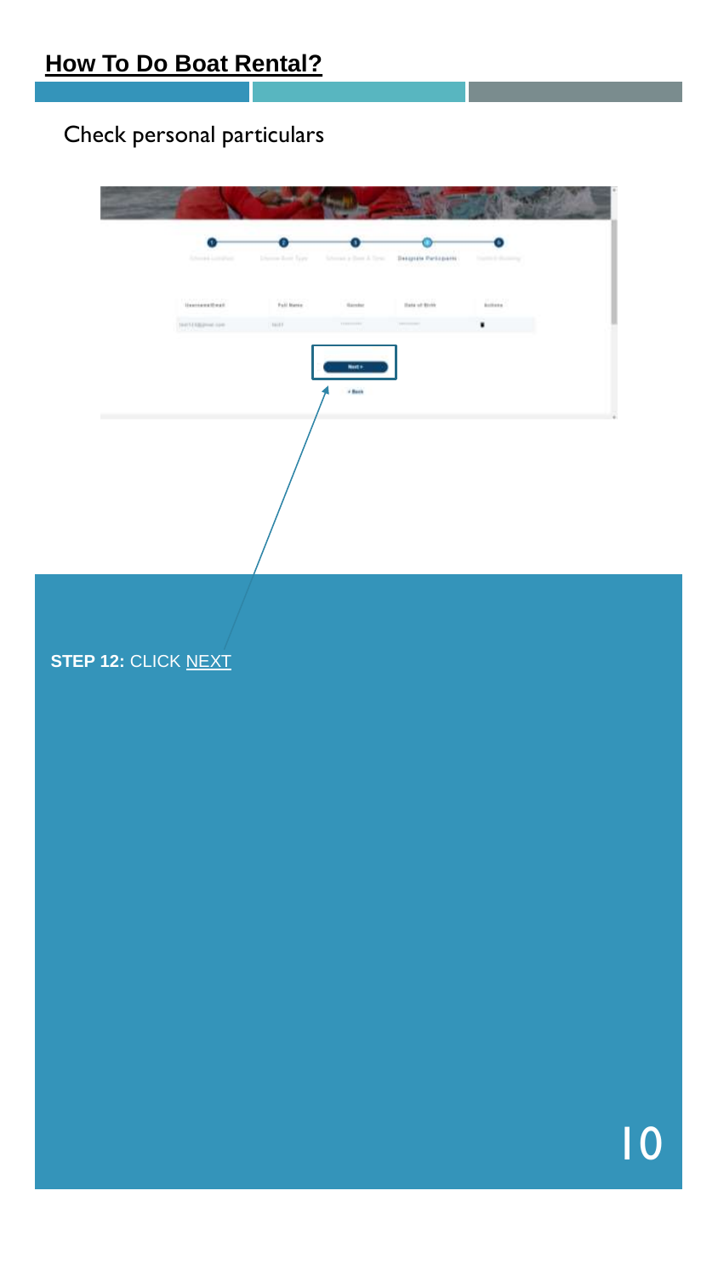# Check personal particulars



**STEP 12:** CLICK NEXT

10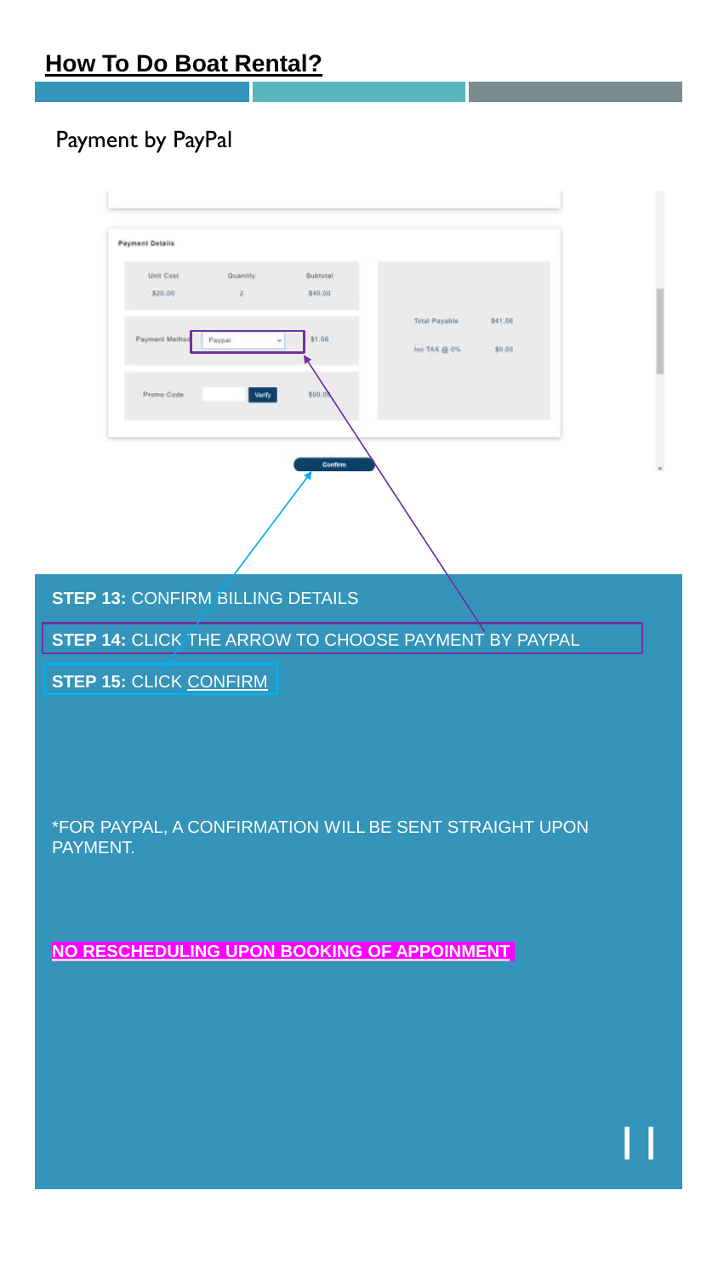# Payment by PayPal



**STEP 13: CONFIRM BILLING DETAILS** 

**STEP 14:** CLICK THE ARROW TO CHOOSE PAYMENT BY PAYPAL

**STEP 15: CLICK CONFIRM** 

\*FOR PAYPAL, A CONFIRMATION WILL BE SENT STRAIGHT UPON PAYMENT.

**NO RESCHEDULING UPON BOOKING OF APPOINMENT**